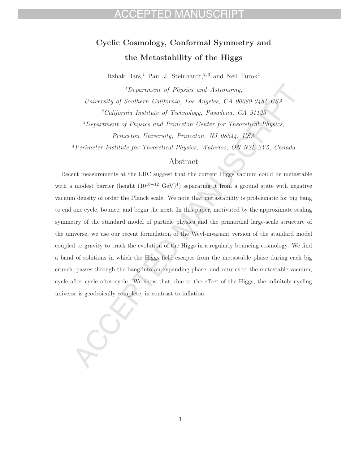# **Cyclic Cosmology, Conformal Symmetry and the Metastability of the Higgs**

Itzhak Bars,<sup>1</sup> Paul J. Steinhardt,<sup>2,3</sup> and Neil Turok<sup>4</sup>

<sup>1</sup>Department of Physics and Astronomy, University of Southern California, Los Angeles, CA 90089-0484 USA  $^{2}California$  Institute of Technology, Pasadena, CA 91125 <sup>3</sup>Department of Physics and Princeton Center for Theoretical Physics, Princeton University, Princeton, NJ 08544, USA <sup>4</sup>Perimeter Institute for Theoretical Physics, Waterloo, ON N2L 2Y5, Canada

#### Abstract

Recent measurements at the LHC suggest that the current Higgs vacuum could be metastable with a modest barrier (height  $(10^{10-12} \text{ GeV})^4$ ) separating it from a ground state with negative vacuum density of order the Planck scale. We note that metastability is problematic for big bang to end one cycle, bounce, and begin the next. In this paper, motivated by the approximate scaling symmetry of the standard model of particle physics and the primordial large-scale structure of the universe, we use our recent formulation of the Weyl-invariant version of the standard model coupled to gravity to track the evolution of the Higgs in a regularly bouncing cosmology. We find a band of solutions in which the Higgs field escapes from the metastable phase during each big crunch, passes through the bang into an expanding phase, and returns to the metastable vacuum, cycle after cycle after cycle. We show that, due to the effect of the Higgs, the infinitely cycling universe is geodesically complete, in contrast to inflation.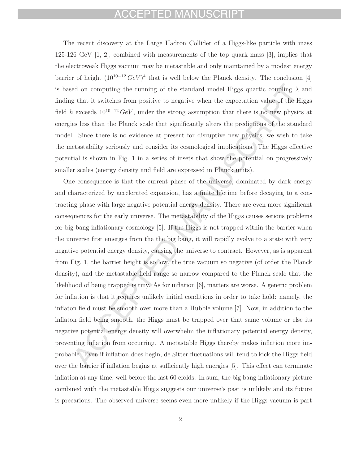## CCEPTED MANUSCRIPT

The recent discovery at the Large Hadron Collider of a Higgs-like particle with mass 125-126 GeV [1, 2], combined with measurements of the top quark mass [3], implies that the electroweak Higgs vacuum may be metastable and only maintained by a modest energy barrier of height  $(10^{10-12} \text{ GeV})^4$  that is well below the Planck density. The conclusion [4] is based on computing the running of the standard model Higgs quartic coupling  $\lambda$  and finding that it switches from positive to negative when the expectation value of the Higgs field h exceeds  $10^{10-12} \text{ GeV}$ , under the strong assumption that there is no new physics at energies less than the Planck scale that significantly alters the predictions of the standard model. Since there is no evidence at present for disruptive new physics, we wish to take the metastability seriously and consider its cosmological implications. The Higgs effective potential is shown in Fig. 1 in a series of insets that show the potential on progressively smaller scales (energy density and field are expressed in Planck units).

One consequence is that the current phase of the universe, dominated by dark energy and characterized by accelerated expansion, has a finite lifetime before decaying to a contracting phase with large negative potential energy density. There are even more significant consequences for the early universe. The metastability of the Higgs causes serious problems for big bang inflationary cosmology [5]. If the Higgs is not trapped within the barrier when the universe first emerges from the the big bang, it will rapidly evolve to a state with very negative potential energy density, causing the universe to contract. However, as is apparent from Fig. 1, the barrier height is so low, the true vacuum so negative (of order the Planck density), and the metastable field range so narrow compared to the Planck scale that the likelihood of being trapped is tiny. As for inflation [6], matters are worse. A generic problem for inflation is that it requires unlikely initial conditions in order to take hold: namely, the inflaton field must be smooth over more than a Hubble volume [7]. Now, in addition to the inflaton field being smooth, the Higgs must be trapped over that same volume or else its negative potential energy density will overwhelm the inflationary potential energy density, preventing inflation from occurring. A metastable Higgs thereby makes inflation more improbable. Even if inflation does begin, de Sitter fluctuations will tend to kick the Higgs field over the barrier if inflation begins at sufficiently high energies [5]. This effect can terminate inflation at any time, well before the last 60 efolds. In sum, the big bang inflationary picture combined with the metastable Higgs suggests our universe's past is unlikely and its future is precarious. The observed universe seems even more unlikely if the Higgs vacuum is part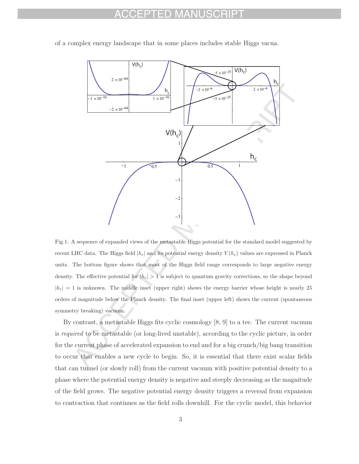#### FD MAN



of a complex energy landscape that in some places includes stable Higgs vacua.

Fig.1: A sequence of expanded views of the metastable Higgs potential for the standard model suggested by recent LHC data. The Higgs field  $|h_c|$  and its potential energy density  $V(h_c)$  values are expressed in Planck units. The bottom figure shows that most of the Higgs field range corresponds to large negative energy density. The effective potential for  $|h_c| > 1$  is subject to quantum gravity corrections, so the shape beyond  $|h_c| = 1$  is unknown. The middle inset (upper right) shows the energy barrier whose height is nearly 25 orders of magnitude below the Planck density. The final inset (upper left) shows the current (spontaneous symmetry breaking) vacuum.

By contrast, a metastable Higgs fits cyclic cosmology [8, 9] to a tee. The current vacuum is required to be metastable (or long-lived unstable), according to the cyclic picture, in order for the current phase of accelerated expansion to end and for a big crunch/big bang transition to occur that enables a new cycle to begin. So, it is essential that there exist scalar fields that can tunnel (or slowly roll) from the current vacuum with positive potential density to a phase where the potential energy density is negative and steeply decreasing as the magnitude of the field grows. The negative potential energy density triggers a reversal from expansion to contraction that continues as the field rolls downhill. For the cyclic model, this behavior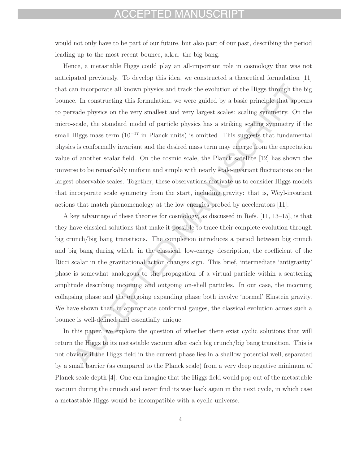#### CCEPTED MANUSCRIPT

would not only have to be part of our future, but also part of our past, describing the period leading up to the most recent bounce, a.k.a. the big bang.

Hence, a metastable Higgs could play an all-important role in cosmology that was not anticipated previously. To develop this idea, we constructed a theoretical formulation [11] that can incorporate all known physics and track the evolution of the Higgs through the big bounce. In constructing this formulation, we were guided by a basic principle that appears to pervade physics on the very smallest and very largest scales: scaling symmetry. On the micro-scale, the standard model of particle physics has a striking scaling symmetry if the small Higgs mass term  $(10^{-17}$  in Planck units) is omitted. This suggests that fundamental physics is conformally invariant and the desired mass term may emerge from the expectation value of another scalar field. On the cosmic scale, the Planck satellite [12] has shown the universe to be remarkably uniform and simple with nearly scale-invariant fluctuations on the largest observable scales. Together, these observations motivate us to consider Higgs models that incorporate scale symmetry from the start, including gravity: that is, Weyl-invariant actions that match phenomenology at the low energies probed by accelerators [11].

A key advantage of these theories for cosmology, as discussed in Refs. [11, 13–15], is that they have classical solutions that make it possible to trace their complete evolution through big crunch/big bang transitions. The completion introduces a period between big crunch and big bang during which, in the classical, low-energy description, the coefficient of the Ricci scalar in the gravitational action changes sign. This brief, intermediate 'antigravity' phase is somewhat analogous to the propagation of a virtual particle within a scattering amplitude describing incoming and outgoing on-shell particles. In our case, the incoming collapsing phase and the outgoing expanding phase both involve 'normal' Einstein gravity. We have shown that, in appropriate conformal gauges, the classical evolution across such a bounce is well-defined and essentially unique.

In this paper, we explore the question of whether there exist cyclic solutions that will return the Higgs to its metastable vacuum after each big crunch/big bang transition. This is not obvious if the Higgs field in the current phase lies in a shallow potential well, separated by a small barrier (as compared to the Planck scale) from a very deep negative minimum of Planck scale depth [4]. One can imagine that the Higgs field would pop out of the metastable vacuum during the crunch and never find its way back again in the next cycle, in which case a metastable Higgs would be incompatible with a cyclic universe.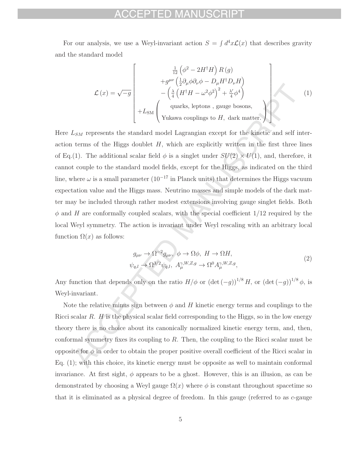#### ED MANITSCRIPT

For our analysis, we use a Weyl-invariant action  $S = \int d^4x \mathcal{L}(x)$  that describes gravity and the standard model

$$
\mathcal{L}(x) = \sqrt{-g} \begin{bmatrix} \frac{1}{12} \left( \phi^2 - 2H^{\dagger}H \right) R(g) \\ + g^{\mu\nu} \left( \frac{1}{2} \partial_{\mu} \phi \partial_{\nu} \phi - D_{\mu} H^{\dagger} D_{\nu} H \right) \\ - \left( \frac{\lambda}{4} \left( H^{\dagger} H - \omega^2 \phi^2 \right)^2 + \frac{\lambda'}{4} \phi^4 \right) \\ + L_{\text{SM}} \begin{pmatrix} \text{quarks, leptons, gauge bosons,} \\ \text{Yukawa couplings to } H, \text{ dark matter.} \end{pmatrix} \end{bmatrix}
$$
 (1)

Here  $L_{SM}$  represents the standard model Lagrangian except for the kinetic and self interaction terms of the Higgs doublet  $H$ , which are explicitly written in the first three lines of Eq.(1). The additional scalar field  $\phi$  is a singlet under  $SU(2) \times U(1)$ , and, therefore, it cannot couple to the standard model fields, except for the Higgs, as indicated on the third line, where  $\omega$  is a small parameter  $(10^{-17}$  in Planck units) that determines the Higgs vacuum expectation value and the Higgs mass. Neutrino masses and simple models of the dark matter may be included through rather modest extensions involving gauge singlet fields. Both  $\phi$  and H are conformally coupled scalars, with the special coefficient  $1/12$  required by the local Weyl symmetry. The action is invariant under Weyl rescaling with an arbitrary local function  $\Omega(x)$  as follows:

$$
g_{\mu\nu} \to \Omega^{-2} g_{\mu\nu}, \ \phi \to \Omega \phi, \ H \to \Omega H,
$$
  

$$
\psi_{q,l} \to \Omega^{3/2} \psi_{q,l}, \ A_{\mu}^{\gamma,W,Z,g} \to \Omega^0 A_{\mu}^{\gamma,W,Z,g},
$$

$$
\tag{2}
$$

Any function that depends only on the ratio  $H/\phi$  or  $(\det(-g))^{1/8} H$ , or  $(\det(-g))^{1/8} \phi$ , is Weyl-invariant.

Note the relative minus sign between  $\phi$  and H kinetic energy terms and couplings to the Ricci scalar  $R$ .  $H$  is the physical scalar field corresponding to the Higgs, so in the low energy theory there is no choice about its canonically normalized kinetic energy term, and, then, conformal symmetry fixes its coupling to  $R$ . Then, the coupling to the Ricci scalar must be opposite for  $\phi$  in order to obtain the proper positive overall coefficient of the Ricci scalar in Eq. (1); with this choice, its kinetic energy must be opposite as well to maintain conformal invariance. At first sight,  $\phi$  appears to be a ghost. However, this is an illusion, as can be demonstrated by choosing a Weyl gauge  $\Omega(x)$  where  $\phi$  is constant throughout spacetime so that it is eliminated as a physical degree of freedom. In this gauge (referred to as  $c$ -gauge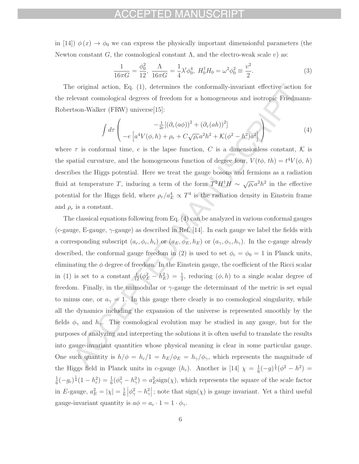### ACCEPTED MANUSCRIPT

in [14])  $\phi(x) \rightarrow \phi_0$  we can express the physically important dimensionful parameters (the Newton constant G, the cosmological constant  $\Lambda$ , and the electro-weak scale v) as:

$$
\frac{1}{16\pi G} = \frac{\phi_0^2}{12}, \ \frac{\Lambda}{16\pi G} = \frac{1}{4}\lambda'\phi_0^4, \ H_0^\dagger H_0 = \omega^2\phi_0^2 \equiv \frac{v^2}{2}.\tag{3}
$$

The original action, Eq. (1), determines the conformally-invariant effective action for the relevant cosmological degrees of freedom for a homogeneous and isotropic Friedmann-Robertson-Walker (FRW) universe[15]:

$$
\int d\tau \left( -e \left[ a^4 V(\phi, h) + \rho_r + C \sqrt{\rho_r} a^2 h^2 + \mathcal{K} (\phi^2 - h^2) a^2 \right] \right) \tag{4}
$$

where  $\tau$  is conformal time, e is the lapse function, C is a dimensionless constant, K is the spatial curvature, and the homogeneous function of degree four,  $V(t\phi, th) = t^4 V(\phi, h)$ describes the Higgs potential. Here we treat the gauge bosons and fermions as a radiation fluid at temperature T, inducing a term of the form  $T^2H^{\dagger}H \sim \sqrt{\rho_r}a^2h^2$  in the effective potential for the Higgs field, where  $\rho_r/a_E^4 \propto T^4$  is the radiation density in Einstein frame and  $\rho_r$  is a constant.

The classical equations following from Eq. (4) can be analyzed in various conformal gauges (c-gauge, E-gauge,  $\gamma$ -gauge) as described in Ref. [14]. In each gauge we label the fields with a corresponding subscript  $(a_c, \phi_c, h_c)$  or  $(a_E, \phi_E, h_E)$  or  $(a_\gamma, \phi_\gamma, h_\gamma)$ . In the c-gauge already described, the conformal gauge freedom in (2) is used to set  $\phi_c = \phi_0 = 1$  in Planck units, eliminating the  $\phi$  degree of freedom. In the Einstein gauge, the coefficient of the Ricci scalar in (1) is set to a constant  $\frac{1}{12}(\phi_E^2 - h_E^2) = \frac{1}{2}$ , reducing  $(\phi, h)$  to a single scalar degree of freedom. Finally, in the unimodular or  $\gamma$ -gauge the determinant of the metric is set equal to minus one, or  $a_{\gamma} = 1$ . In this gauge there clearly is no cosmological singularity, while all the dynamics including the expansion of the universe is represented smoothly by the fields  $\phi_{\gamma}$  and  $h_{\gamma}$ . The cosmological evolution may be studied in any gauge, but for the purposes of analyzing and interpreting the solutions it is often useful to translate the results into gauge-invariant quantities whose physical meaning is clear in some particular gauge. One such quantity is  $h/\phi = h_c/1 = h_E/\phi_E = h_{\gamma}/\phi_{\gamma}$ , which represents the magnitude of the Higgs field in Planck units in c-gauge  $(h_c)$ . Another is  $[14]$   $\chi = \frac{1}{6}(-g)^{\frac{1}{4}}(\phi^2 - h^2)$  $\frac{1}{6}(-g_c)^{\frac{1}{4}}(1-h_c^2) = \frac{1}{6}(\phi_\gamma^2-h_\gamma^2) = a_E^2 \text{sign}(\chi)$ , which represents the square of the scale factor in E-gauge,  $a_E^2 = |\chi| = \frac{1}{6} |\phi_{\gamma}^2 - h_{\gamma}^2|$ ; note that  $sign(\chi)$  is gauge invariant. Yet a third useful gauge-invariant quantity is  $a\phi = a_c \cdot 1 = 1 \cdot \phi_{\gamma}$ .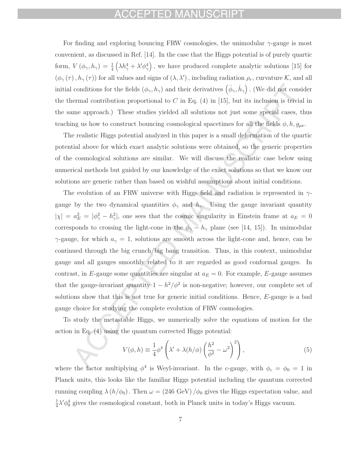#### CCEPTED MANUSCRIPT

For finding and exploring bouncing FRW cosmologies, the unimodular  $\gamma$ -gauge is most convenient, as discussed in Ref. [14]. In the case that the Higgs potential is of purely quartic form,  $V(\phi_{\gamma}, h_{\gamma}) = \frac{1}{4} \left( \lambda h_{\gamma}^4 + \lambda' \phi_{\gamma}^4 \right)$  , we have produced complete analytic solutions [15] for  $(\phi_{\gamma}(\tau), h_{\gamma}(\tau))$  for all values and signs of  $(\lambda, \lambda')$ , including radiation  $\rho_r$ , curvature K, and all initial conditions for the fields  $(\phi_\gamma, h_\gamma)$  and their derivatives  $(\dot{\phi}_\gamma, \dot{h}_\gamma)$ . (We did not consider the thermal contribution proportional to C in Eq.  $(4)$  in [15], but its inclusion is trivial in the same approach.) These studies yielded all solutions not just some special cases, thus teaching us how to construct bouncing cosmological spacetimes for all the fields  $\phi$ , h,  $g_{\mu\nu}$ .

The realistic Higgs potential analyzed in this paper is a small deformation of the quartic potential above for which exact analytic solutions were obtained, so the generic properties of the cosmological solutions are similar. We will discuss the realistic case below using numerical methods but guided by our knowledge of the exact solutions so that we know our solutions are generic rather than based on wishful assumptions about initial conditions.

The evolution of an FRW universe with Higgs field and radiation is represented in  $\gamma$ gauge by the two dynamical quantities  $\phi_{\gamma}$  and  $h_{\gamma}$ . Using the gauge invariant quantity  $|\chi| = a_E^2 = |\phi_\gamma^2 - h_\gamma^2|$ , one sees that the cosmic singularity in Einstein frame at  $a_E = 0$ corresponds to crossing the light-cone in the  $\phi_{\gamma} - h_{\gamma}$  plane (see [14, 15]). In unimodular  $\gamma$ -gauge, for which  $a_{\gamma} = 1$ , solutions are smooth across the light-cone and, hence, can be continued through the big crunch/big bang transition. Thus, in this context, unimodular gauge and all gauges smoothly related to it are regarded as good conformal gauges. In contrast, in E-gauge some quantities are singular at  $a_E = 0$ . For example, E-gauge assumes that the gauge-invariant quantity  $1 - h^2/\phi^2$  is non-negative; however, our complete set of solutions show that this is not true for generic initial conditions. Hence, E-gauge is a bad gauge choice for studying the complete evolution of FRW cosmologies.

To study the metastable Higgs, we numerically solve the equations of motion for the action in Eq. (4) using the quantum corrected Higgs potential:

$$
V(\phi, h) \equiv \frac{1}{4} \phi^4 \left( \lambda' + \lambda (h/\phi) \left( \frac{h^2}{\phi^2} - \omega^2 \right)^2 \right), \tag{5}
$$

where the factor multiplying  $\phi^4$  is Weyl-invariant. In the c-gauge, with  $\phi_c = \phi_0 = 1$  in Planck units, this looks like the familiar Higgs potential including the quantum corrected running coupling  $\lambda (h/\phi_0)$ . Then  $\omega = (246 \text{ GeV})/\phi_0$  gives the Higgs expectation value, and  $\frac{1}{4}\lambda'\phi_0^4$  gives the cosmological constant, both in Planck units in today's Higgs vacuum.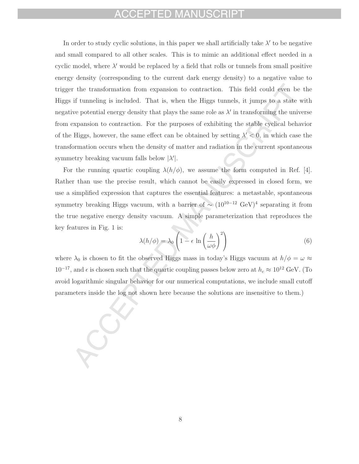#### FPTED MANU

In order to study cyclic solutions, in this paper we shall artificially take  $\lambda'$  to be negative and small compared to all other scales. This is to mimic an additional effect needed in a cyclic model, where  $\lambda'$  would be replaced by a field that rolls or tunnels from small positive energy density (corresponding to the current dark energy density) to a negative value to trigger the transformation from expansion to contraction. This field could even be the Higgs if tunneling is included. That is, when the Higgs tunnels, it jumps to a state with negative potential energy density that plays the same role as  $\lambda'$  in transforming the universe from expansion to contraction. For the purposes of exhibiting the stable cyclical behavior of the Higgs, however, the same effect can be obtained by setting  $\lambda' < 0$ , in which case the transformation occurs when the density of matter and radiation in the current spontaneous symmetry breaking vacuum falls below  $|\lambda'|$ .

For the running quartic coupling  $\lambda(h/\phi)$ , we assume the form computed in Ref. [4]. Rather than use the precise result, which cannot be easily expressed in closed form, we use a simplified expression that captures the essential features: a metastable, spontaneous symmetry breaking Higgs vacuum, with a barrier of  $\sim (10^{10-12} \text{ GeV})^4$  separating it from the true negative energy density vacuum. A simple parameterization that reproduces the key features in Fig. 1 is:

$$
\lambda(h/\phi) = \lambda_0 \left(1 - \epsilon \ln \left(\frac{h}{\omega \phi}\right)^2\right) \tag{6}
$$

where  $\lambda_0$  is chosen to fit the observed Higgs mass in today's Higgs vacuum at  $h/\phi = \omega \approx$  $10^{-17}$ , and  $\epsilon$  is chosen such that the quartic coupling passes below zero at  $h_c \approx 10^{12}$  GeV. (To avoid logarithmic singular behavior for our numerical computations, we include small cutoff parameters inside the log not shown here because the solutions are insensitive to them.)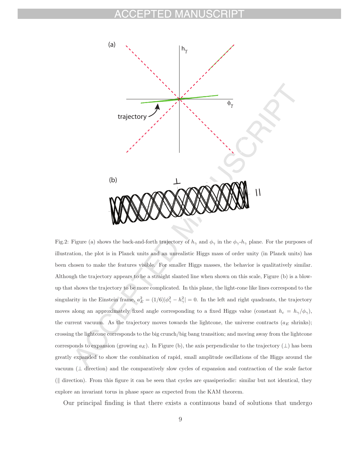

Fig.2: Figure (a) shows the back-and-forth trajectory of  $h_{\gamma}$  and  $\phi_{\gamma}$  in the  $\phi_{\gamma}$ - $h_{\gamma}$  plane. For the purposes of illustration, the plot is in Planck units and an unrealistic Higgs mass of order unity (in Planck units) has been chosen to make the features visible. For smaller Higgs masses, the behavior is qualitatively similar. Although the trajectory appears to be a straight slanted line when shown on this scale, Figure (b) is a blowup that shows the trajectory to be more complicated. In this plane, the light-cone like lines correspond to the singularity in the Einstein frame,  $a_E^2 = (1/6)|\phi_\gamma^2 - h_\gamma^2| = 0$ . In the left and right quadrants, the trajectory moves along an approximately fixed angle corresponding to a fixed Higgs value (constant  $h_c = h_{\gamma}/\phi_{\gamma}$ ), the current vacuum. As the trajectory moves towards the lightcone, the universe contracts ( $a<sub>E</sub>$  shrinks); crossing the lightcone corresponds to the big crunch/big bang transition; and moving away from the lightcone corresponds to expansion (growing  $a_E$ ). In Figure (b), the axis perpendicular to the trajectory ( $\perp$ ) has been greatly expanded to show the combination of rapid, small amplitude oscillations of the Higgs around the vacuum (⊥ direction) and the comparatively slow cycles of expansion and contraction of the scale factor ( $\parallel$  direction). From this figure it can be seen that cycles are quasiperiodic: similar but not identical, they explore an invariant torus in phase space as expected from the KAM theorem.

Our principal finding is that there exists a continuous band of solutions that undergo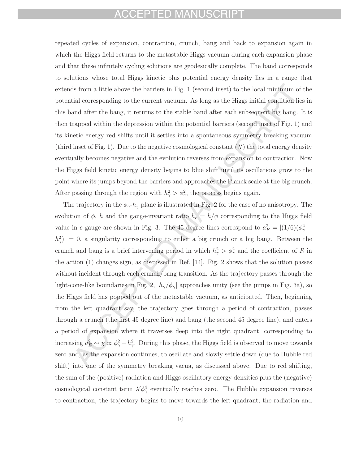#### ACCEPTED MANUSCRIPT

repeated cycles of expansion, contraction, crunch, bang and back to expansion again in which the Higgs field returns to the metastable Higgs vacuum during each expansion phase and that these infinitely cycling solutions are geodesically complete. The band corresponds to solutions whose total Higgs kinetic plus potential energy density lies in a range that extends from a little above the barriers in Fig. 1 (second inset) to the local minimum of the potential corresponding to the current vacuum. As long as the Higgs initial condition lies in this band after the bang, it returns to the stable band after each subsequent big bang. It is then trapped within the depression within the potential barriers (second inset of Fig. 1) and its kinetic energy red shifts until it settles into a spontaneous symmetry breaking vacuum (third inset of Fig. 1). Due to the negative cosmological constant  $(\lambda')$  the total energy density eventually becomes negative and the evolution reverses from expansion to contraction. Now the Higgs field kinetic energy density begins to blue shift until its oscillations grow to the point where its jumps beyond the barriers and approaches the Planck scale at the big crunch. After passing through the region with  $h^2_{\gamma} > \phi^2_{\gamma}$ , the process begins again.

The trajectory in the  $\phi_{\gamma}h_{\gamma}$  plane is illustrated in Fig. 2 for the case of no anisotropy. The evolution of  $\phi$ , h and the gauge-invariant ratio  $h_c = h/\phi$  corresponding to the Higgs field value in c-gauge are shown in Fig. 3. The 45 degree lines correspond to  $a_E^2 = |(1/6)(\phi_\gamma^2 |h_{\gamma}^2\rangle| = 0$ , a singularity corresponding to either a big crunch or a big bang. Between the crunch and bang is a brief intervening period in which  $h^2_{\gamma} > \phi^2_{\gamma}$  and the coefficient of R in the action (1) changes sign, as discussed in Ref. [14]. Fig. 2 shows that the solution passes without incident through each crunch/bang transition. As the trajectory passes through the light-cone-like boundaries in Fig. 2,  $|h_{\gamma}/\phi_{\gamma}|$  approaches unity (see the jumps in Fig. 3a), so the Higgs field has popped out of the metastable vacuum, as anticipated. Then, beginning from the left quadrant say, the trajectory goes through a period of contraction, passes through a crunch (the first 45 degree line) and bang (the second 45 degree line), and enters a period of expansion where it traverses deep into the right quadrant, corresponding to increasing  $a_E^2 \sim \chi \propto \phi_\gamma^2 - h_\gamma^2$ . During this phase, the Higgs field is observed to move towards zero and, as the expansion continues, to oscillate and slowly settle down (due to Hubble red shift) into one of the symmetry breaking vacua, as discussed above. Due to red shifting, the sum of the (positive) radiation and Higgs oscillatory energy densities plus the (negative) cosmological constant term  $\lambda' \phi_{\gamma}^4$  eventually reaches zero. The Hubble expansion reverses to contraction, the trajectory begins to move towards the left quadrant, the radiation and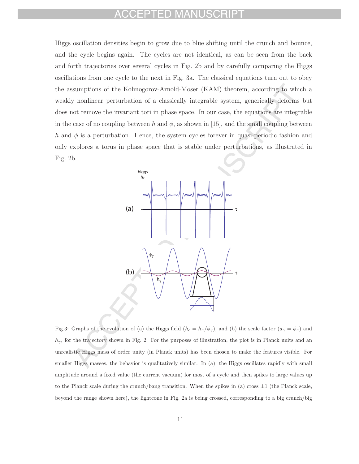#### ED MA

Higgs oscillation densities begin to grow due to blue shifting until the crunch and bounce, and the cycle begins again. The cycles are not identical, as can be seen from the back and forth trajectories over several cycles in Fig. 2b and by carefully comparing the Higgs oscillations from one cycle to the next in Fig. 3a. The classical equations turn out to obey the assumptions of the Kolmogorov-Arnold-Moser (KAM) theorem, according to which a weakly nonlinear perturbation of a classically integrable system, generically deforms but does not remove the invariant tori in phase space. In our case, the equations are integrable in the case of no coupling between h and  $\phi$ , as shown in [15], and the small coupling between h and  $\phi$  is a perturbation. Hence, the system cycles forever in quasi-periodic fashion and only explores a torus in phase space that is stable under perturbations, as illustrated in Fig. 2b.



Fig.3: Graphs of the evolution of (a) the Higgs field  $(h_c = h_{\gamma}/\phi_{\gamma})$ , and (b) the scale factor  $(a_{\gamma} = \phi_{\gamma})$  and  $h_{\gamma}$ , for the trajectory shown in Fig. 2. For the purposes of illustration, the plot is in Planck units and an unrealistic Higgs mass of order unity (in Planck units) has been chosen to make the features visible. For smaller Higgs masses, the behavior is qualitatively similar. In (a), the Higgs oscillates rapidly with small amplitude around a fixed value (the current vacuum) for most of a cycle and then spikes to large values up to the Planck scale during the crunch/bang transition. When the spikes in (a) cross  $\pm 1$  (the Planck scale, beyond the range shown here), the lightcone in Fig. 2a is being crossed, corresponding to a big crunch/big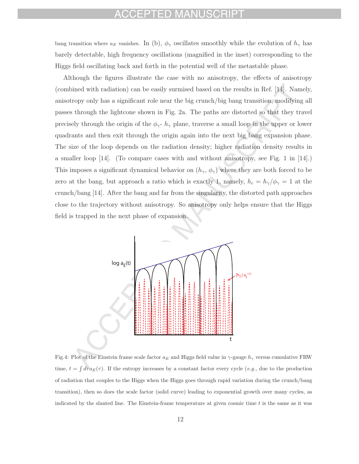#### FD MANU

bang transition where  $a_E$  vanishes. In (b),  $\phi_\gamma$  oscillates smoothly while the evolution of  $h_\gamma$  has barely detectable, high frequency oscillations (magnified in the inset) corresponding to the Higgs field oscillating back and forth in the potential well of the metastable phase.

Although the figures illustrate the case with no anisotropy, the effects of anisotropy (combined with radiation) can be easily surmised based on the results in Ref. [14]. Namely, anisotropy only has a significant role near the big crunch/big bang transition, modifying all passes through the lightcone shown in Fig. 2a. The paths are distorted so that they travel precisely through the origin of the  $\phi_{\gamma}$ -  $h_{\gamma}$  plane, traverse a small loop in the upper or lower quadrants and then exit through the origin again into the next big bang expansion phase. The size of the loop depends on the radiation density; higher radiation density results in a smaller loop [14]. (To compare cases with and without anisotropy, see Fig. 1 in [14].) This imposes a significant dynamical behavior on  $(h_{\gamma}, \phi_{\gamma})$  where they are both forced to be zero at the bang, but approach a ratio which is exactly 1, namely,  $h_c = h_{\gamma}/\phi_{\gamma} = 1$  at the crunch/bang [14]. After the bang and far from the singularity, the distorted path approaches close to the trajectory without anisotropy. So anisotropy only helps ensure that the Higgs field is trapped in the next phase of expansion.



Fig.4: Plot of the Einstein frame scale factor  $a_E$  and Higgs field value in  $\gamma$ -gauge  $h_\gamma$  versus cumulative FRW time,  $t = \int d\tau a_E(\tau)$ . If the entropy increases by a constant factor every cycle (*e.g.*, due to the production of radiation that couples to the Higgs when the Higgs goes through rapid variation during the crunch/bang transition), then so does the scale factor (solid curve) leading to exponential growth over many cycles, as indicated by the slanted line. The Einstein-frame temperature at given cosmic time  $t$  is the same as it was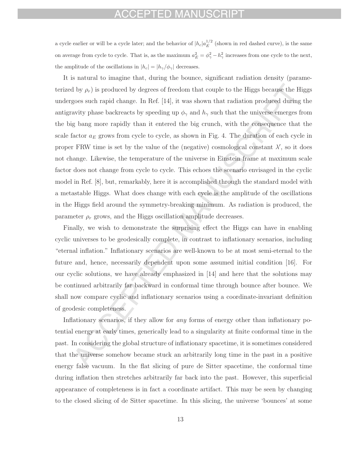#### CEPTED MANUSCRIPT

a cycle earlier or will be a cycle later; and the behavior of  $|h_c|a_E^{1/2}$  (shown in red dashed curve), is the same on average from cycle to cycle. That is, as the maximum  $a_E^2 = \phi_\gamma^2 - h_\gamma^2$  increases from one cycle to the next, the amplitude of the oscillations in  $|h_c| = |h_{\gamma}/\phi_{\gamma}|$  decreases.

It is natural to imagine that, during the bounce, significant radiation density (parameterized by  $\rho_r$ ) is produced by degrees of freedom that couple to the Higgs because the Higgs undergoes such rapid change. In Ref. [14], it was shown that radiation produced during the antigravity phase backreacts by speeding up  $\phi_{\gamma}$  and  $h_{\gamma}$  such that the universe emerges from the big bang more rapidly than it entered the big crunch, with the consequence that the scale factor  $a_E$  grows from cycle to cycle, as shown in Fig. 4. The duration of each cycle in proper FRW time is set by the value of the (negative) cosmological constant  $\lambda'$ , so it does not change. Likewise, the temperature of the universe in Einstein frame at maximum scale factor does not change from cycle to cycle. This echoes the scenario envisaged in the cyclic model in Ref. [8], but, remarkably, here it is accomplished through the standard model with a metastable Higgs. What does change with each cycle is the amplitude of the oscillations in the Higgs field around the symmetry-breaking minimum. As radiation is produced, the parameter  $\rho_r$  grows, and the Higgs oscillation amplitude decreases.

Finally, we wish to demonstrate the surprising effect the Higgs can have in enabling cyclic universes to be geodesically complete, in contrast to inflationary scenarios, including "eternal inflation." Inflationary scenarios are well-known to be at most semi-eternal to the future and, hence, necessarily dependent upon some assumed initial condition [16]. For our cyclic solutions, we have already emphasized in [14] and here that the solutions may be continued arbitrarily far backward in conformal time through bounce after bounce. We shall now compare cyclic and inflationary scenarios using a coordinate-invariant definition of geodesic completeness.

Inflationary scenarios, if they allow for any forms of energy other than inflationary potential energy at early times, generically lead to a singularity at finite conformal time in the past. In considering the global structure of inflationary spacetime, it is sometimes considered that the universe somehow became stuck an arbitrarily long time in the past in a positive energy false vacuum. In the flat slicing of pure de Sitter spacetime, the conformal time during inflation then stretches arbitrarily far back into the past. However, this superficial appearance of completeness is in fact a coordinate artifact. This may be seen by changing to the closed slicing of de Sitter spacetime. In this slicing, the universe 'bounces' at some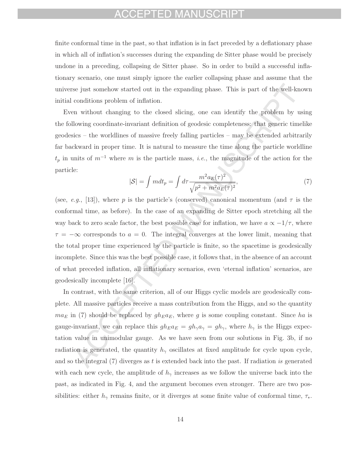#### CEPTED MANUSCRIPT

finite conformal time in the past, so that inflation is in fact preceded by a deflationary phase in which all of inflation's successes during the expanding de Sitter phase would be precisely undone in a preceding, collapsing de Sitter phase. So in order to build a successful inflationary scenario, one must simply ignore the earlier collapsing phase and assume that the universe just somehow started out in the expanding phase. This is part of the well-known initial conditions problem of inflation.

Even without changing to the closed slicing, one can identify the problem by using the following coordinate-invariant definition of geodesic completeness: that generic timelike geodesics – the worldlines of massive freely falling particles – may be extended arbitrarily far backward in proper time. It is natural to measure the time along the particle worldline  $t_p$  in units of  $m^{-1}$  where m is the particle mass, *i.e.*, the magnitude of the action for the particle:

$$
|\mathcal{S}| = \int m dt_p = \int d\tau \frac{m^2 a_E(\tau)^2}{\sqrt{p^2 + m^2 a_E(\tau)^2}},\tag{7}
$$

(see, e.g., [13]), where p is the particle's (conserved) canonical momentum (and  $\tau$  is the conformal time, as before). In the case of an expanding de Sitter epoch stretching all the way back to zero scale factor, the best possible case for inflation, we have  $a \propto -1/\tau$ , where  $\tau = -\infty$  corresponds to  $a = 0$ . The integral converges at the lower limit, meaning that the total proper time experienced by the particle is finite, so the spacetime is geodesically incomplete. Since this was the best possible case, it follows that, in the absence of an account of what preceded inflation, all inflationary scenarios, even 'eternal inflation' scenarios, are geodesically incomplete [16].

In contrast, with the same criterion, all of our Higgs cyclic models are geodesically complete. All massive particles receive a mass contribution from the Higgs, and so the quantity  $ma_E$  in (7) should be replaced by  $gh_Ea_E$ , where g is some coupling constant. Since ha is gauge-invariant, we can replace this  $gh_E a_E = gh_{\gamma} a_{\gamma} = gh_{\gamma}$ , where  $h_{\gamma}$  is the Higgs expectation value in unimodular gauge. As we have seen from our solutions in Fig. 3b, if no radiation is generated, the quantity  $h_{\gamma}$  oscillates at fixed amplitude for cycle upon cycle, and so the integral  $(7)$  diverges as t is extended back into the past. If radiation is generated with each new cycle, the amplitude of  $h_{\gamma}$  increases as we follow the universe back into the past, as indicated in Fig. 4, and the argument becomes even stronger. There are two possibilities: either  $h_{\gamma}$  remains finite, or it diverges at some finite value of conformal time,  $\tau_{*}$ .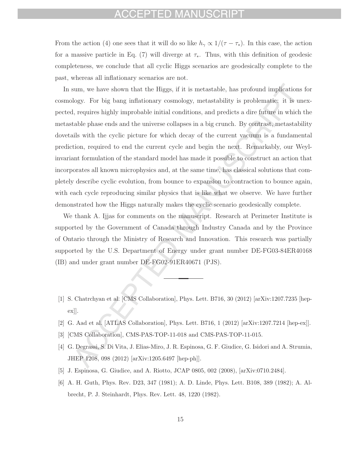#### FPTFD MANUSCRIPT

From the action (4) one sees that it will do so like  $h_{\gamma} \propto 1/(\tau - \tau_*)$ . In this case, the action for a massive particle in Eq. (7) will diverge at  $\tau_*$ . Thus, with this definition of geodesic completeness, we conclude that all cyclic Higgs scenarios are geodesically complete to the past, whereas all inflationary scenarios are not.

In sum, we have shown that the Higgs, if it is metastable, has profound implications for cosmology. For big bang inflationary cosmology, metastability is problematic: it is unexpected, requires highly improbable initial conditions, and predicts a dire future in which the metastable phase ends and the universe collapses in a big crunch. By contrast, metastability dovetails with the cyclic picture for which decay of the current vacuum is a fundamental prediction, required to end the current cycle and begin the next. Remarkably, our Weylinvariant formulation of the standard model has made it possible to construct an action that incorporates all known microphysics and, at the same time, has classical solutions that completely describe cyclic evolution, from bounce to expansion to contraction to bounce again, with each cycle reproducing similar physics that is like what we observe. We have further demonstrated how the Higgs naturally makes the cyclic scenario geodesically complete.

We thank A. Ijjas for comments on the manuscript. Research at Perimeter Institute is supported by the Government of Canada through Industry Canada and by the Province of Ontario through the Ministry of Research and Innovation. This research was partially supported by the U.S. Department of Energy under grant number DE-FG03-84ER40168 (IB) and under grant number DE-FG02-91ER40671 (PJS).

- [1] S. Chatrchyan et al. [CMS Collaboration], Phys. Lett. B716, 30 (2012) [arXiv:1207.7235 [hepex]].
- [2] G. Aad et al. [ATLAS Collaboration], Phys. Lett. B716, 1 (2012) [arXiv:1207.7214 [hep-ex]].
- [3] [CMS Collaboration], CMS-PAS-TOP-11-018 and CMS-PAS-TOP-11-015.
- [4] G. Degrassi, S. Di Vita, J. Elias-Miro, J. R. Espinosa, G. F. Giudice, G. Isidori and A. Strumia, JHEP 1208, 098 (2012) [arXiv:1205.6497 [hep-ph]].
- [5] J. Espinosa, G. Giudice, and A. Riotto, JCAP 0805, 002 (2008), [arXiv:0710.2484].
- [6] A. H. Guth, Phys. Rev. D23, 347 (1981); A. D. Linde, Phys. Lett. B108, 389 (1982); A. Albrecht, P. J. Steinhardt, Phys. Rev. Lett. 48, 1220 (1982).